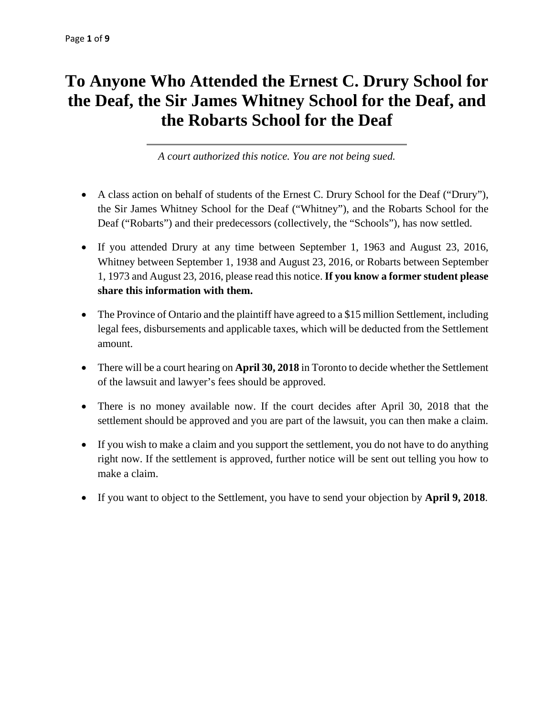# **To Anyone Who Attended the Ernest C. Drury School for the Deaf, the Sir James Whitney School for the Deaf, and the Robarts School for the Deaf**

*A court authorized this notice. You are not being sued.* 

- A class action on behalf of students of the Ernest C. Drury School for the Deaf ("Drury"), the Sir James Whitney School for the Deaf ("Whitney"), and the Robarts School for the Deaf ("Robarts") and their predecessors (collectively, the "Schools"), has now settled.
- If you attended Drury at any time between September 1, 1963 and August 23, 2016, Whitney between September 1, 1938 and August 23, 2016, or Robarts between September 1, 1973 and August 23, 2016, please read this notice. **If you know a former student please share this information with them.**
- The Province of Ontario and the plaintiff have agreed to a \$15 million Settlement, including legal fees, disbursements and applicable taxes, which will be deducted from the Settlement amount.
- There will be a court hearing on **April 30, 2018** in Toronto to decide whether the Settlement of the lawsuit and lawyer's fees should be approved.
- There is no money available now. If the court decides after April 30, 2018 that the settlement should be approved and you are part of the lawsuit, you can then make a claim.
- If you wish to make a claim and you support the settlement, you do not have to do anything right now. If the settlement is approved, further notice will be sent out telling you how to make a claim.
- If you want to object to the Settlement, you have to send your objection by **April 9, 2018**.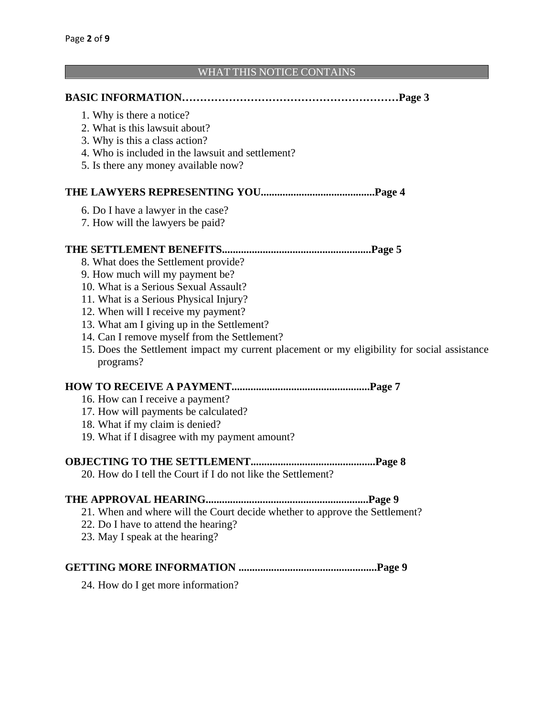#### WHAT THIS NOTICE CONTAINS

|                                                   | Page 3 |
|---------------------------------------------------|--------|
| 1. Why is there a notice?                         |        |
| 2. What is this lawsuit about?                    |        |
| 3. Why is this a class action?                    |        |
| 4. Who is included in the lawsuit and settlement? |        |
| 5. Is there any money available now?              |        |
|                                                   | Page 4 |
| 6. Do I have a lawyer in the case?                |        |
| 7. How will the lawyers be paid?                  |        |
|                                                   | Page 5 |
| 8. What does the Settlement provide?              |        |
| 9. How much will my payment be?                   |        |
| 10. What is a Serious Sexual Assault?             |        |
| 11. What is a Serious Physical Injury?            |        |
| 10. When $\sim$ 11 I access as expressed to       |        |

- 12. When will I receive my payment?
- 13. What am I giving up in the Settlement?
- 14. Can I remove myself from the Settlement?
- 15. Does the Settlement impact my current placement or my eligibility for social assistance programs?

## **HOW TO RECEIVE A PAYMENT...................................................Page 7**

- 16. How can I receive a payment?
- 17. How will payments be calculated?
- 18. What if my claim is denied?
- 19. What if I disagree with my payment amount?

#### **OBJECTING TO THE SETTLEMENT..............................................Page 8**

20. How do I tell the Court if I do not like the Settlement?

#### **THE APPROVAL HEARING............................................................Page 9**

- 21. When and where will the Court decide whether to approve the Settlement?
- 22. Do I have to attend the hearing?
- 23. May I speak at the hearing?

#### **GETTING MORE INFORMATION ...................................................Page 9**

24. How do I get more information?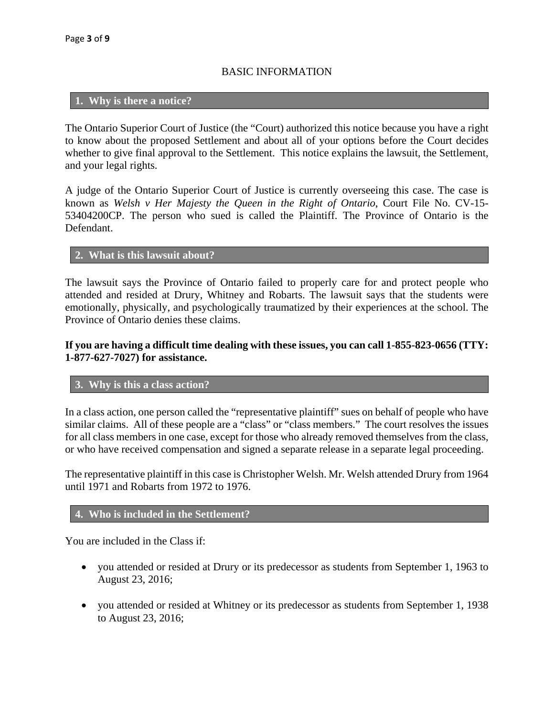# BASIC INFORMATION

# **1. Why is there a notice?**

The Ontario Superior Court of Justice (the "Court) authorized this notice because you have a right to know about the proposed Settlement and about all of your options before the Court decides whether to give final approval to the Settlement. This notice explains the lawsuit, the Settlement, and your legal rights.

A judge of the Ontario Superior Court of Justice is currently overseeing this case. The case is known as *Welsh v Her Majesty the Queen in the Right of Ontario*, Court File No. CV-15- 53404200CP. The person who sued is called the Plaintiff. The Province of Ontario is the Defendant.

## **2. What is this lawsuit about?**

The lawsuit says the Province of Ontario failed to properly care for and protect people who attended and resided at Drury, Whitney and Robarts. The lawsuit says that the students were emotionally, physically, and psychologically traumatized by their experiences at the school. The Province of Ontario denies these claims.

# **If you are having a difficult time dealing with these issues, you can call 1-855-823-0656 (TTY: 1-877-627-7027) for assistance.**

#### **3. Why is this a class action?**

In a class action, one person called the "representative plaintiff" sues on behalf of people who have similar claims. All of these people are a "class" or "class members." The court resolves the issues for all class members in one case, except for those who already removed themselves from the class, or who have received compensation and signed a separate release in a separate legal proceeding.

The representative plaintiff in this case is Christopher Welsh. Mr. Welsh attended Drury from 1964 until 1971 and Robarts from 1972 to 1976.

## **4. Who is included in the Settlement?**

You are included in the Class if:

- you attended or resided at Drury or its predecessor as students from September 1, 1963 to August 23, 2016;
- you attended or resided at Whitney or its predecessor as students from September 1, 1938 to August 23, 2016;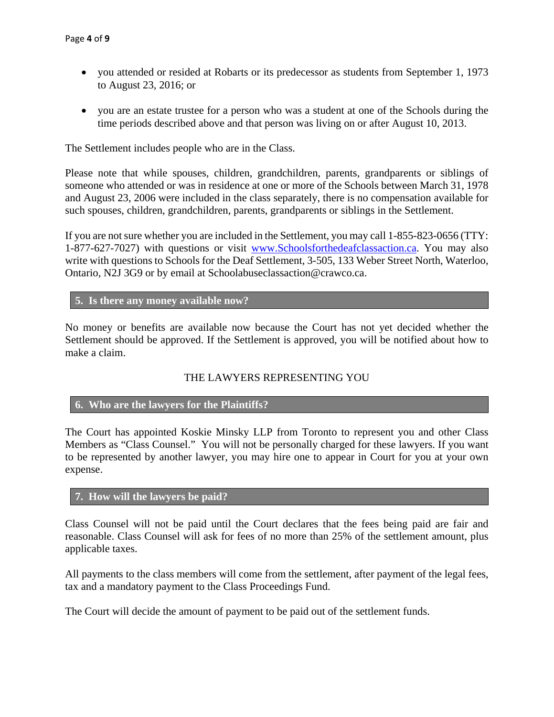- you attended or resided at Robarts or its predecessor as students from September 1, 1973 to August 23, 2016; or
- you are an estate trustee for a person who was a student at one of the Schools during the time periods described above and that person was living on or after August 10, 2013.

The Settlement includes people who are in the Class.

Please note that while spouses, children, grandchildren, parents, grandparents or siblings of someone who attended or was in residence at one or more of the Schools between March 31, 1978 and August 23, 2006 were included in the class separately, there is no compensation available for such spouses, children, grandchildren, parents, grandparents or siblings in the Settlement.

If you are not sure whether you are included in the Settlement, you may call 1-855-823-0656 (TTY: 1-877-627-7027) with questions or visit www.Schoolsforthedeafclassaction.ca. You may also write with questions to Schools for the Deaf Settlement, 3-505, 133 Weber Street North, Waterloo, Ontario, N2J 3G9 or by email at Schoolabuseclassaction@crawco.ca.

## **5. Is there any money available now?**

No money or benefits are available now because the Court has not yet decided whether the Settlement should be approved. If the Settlement is approved, you will be notified about how to make a claim.

## THE LAWYERS REPRESENTING YOU

## **6. Who are the lawyers for the Plaintiffs?**

The Court has appointed Koskie Minsky LLP from Toronto to represent you and other Class Members as "Class Counsel." You will not be personally charged for these lawyers. If you want to be represented by another lawyer, you may hire one to appear in Court for you at your own expense.

#### **7. How will the lawyers be paid?**

Class Counsel will not be paid until the Court declares that the fees being paid are fair and reasonable. Class Counsel will ask for fees of no more than 25% of the settlement amount, plus applicable taxes.

All payments to the class members will come from the settlement, after payment of the legal fees, tax and a mandatory payment to the Class Proceedings Fund.

The Court will decide the amount of payment to be paid out of the settlement funds.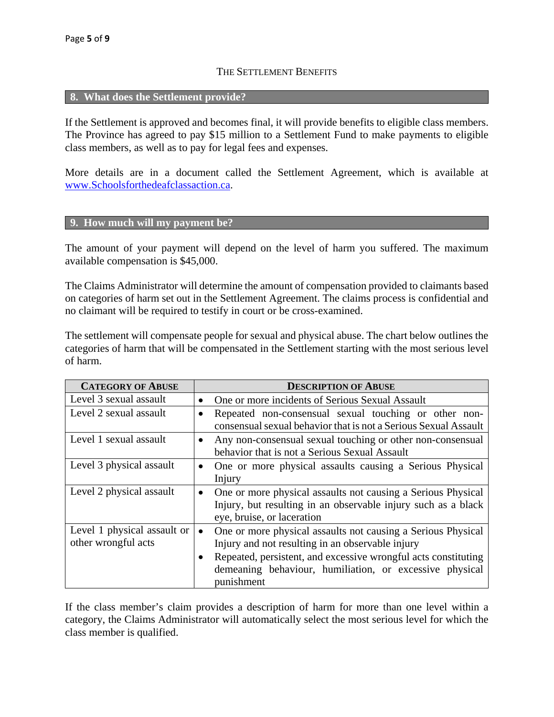## THE SETTLEMENT BENEFITS

#### **8. What does the Settlement provide?**

If the Settlement is approved and becomes final, it will provide benefits to eligible class members. The Province has agreed to pay \$15 million to a Settlement Fund to make payments to eligible class members, as well as to pay for legal fees and expenses.

More details are in a document called the Settlement Agreement, which is available at www.Schoolsforthedeafclassaction.ca.

#### **9. How much will my payment be?**

The amount of your payment will depend on the level of harm you suffered. The maximum available compensation is \$45,000.

The Claims Administrator will determine the amount of compensation provided to claimants based on categories of harm set out in the Settlement Agreement. The claims process is confidential and no claimant will be required to testify in court or be cross-examined.

The settlement will compensate people for sexual and physical abuse. The chart below outlines the categories of harm that will be compensated in the Settlement starting with the most serious level of harm.

| <b>CATEGORY OF ABUSE</b>                           | <b>DESCRIPTION OF ABUSE</b>                                                                                                                                              |
|----------------------------------------------------|--------------------------------------------------------------------------------------------------------------------------------------------------------------------------|
| Level 3 sexual assault                             | One or more incidents of Serious Sexual Assault<br>$\bullet$                                                                                                             |
| Level 2 sexual assault                             | Repeated non-consensual sexual touching or other non-<br>$\bullet$<br>consensual sexual behavior that is not a Serious Sexual Assault                                    |
| Level 1 sexual assault                             | Any non-consensual sexual touching or other non-consensual<br>$\bullet$<br>behavior that is not a Serious Sexual Assault                                                 |
| Level 3 physical assault                           | One or more physical assaults causing a Serious Physical<br>$\bullet$<br>Injury                                                                                          |
| Level 2 physical assault                           | One or more physical assaults not causing a Serious Physical<br>$\bullet$<br>Injury, but resulting in an observable injury such as a black<br>eye, bruise, or laceration |
| Level 1 physical assault or<br>other wrongful acts | One or more physical assaults not causing a Serious Physical<br>$\bullet$<br>Injury and not resulting in an observable injury                                            |
|                                                    | Repeated, persistent, and excessive wrongful acts constituting<br>demeaning behaviour, humiliation, or excessive physical<br>punishment                                  |

If the class member's claim provides a description of harm for more than one level within a category, the Claims Administrator will automatically select the most serious level for which the class member is qualified.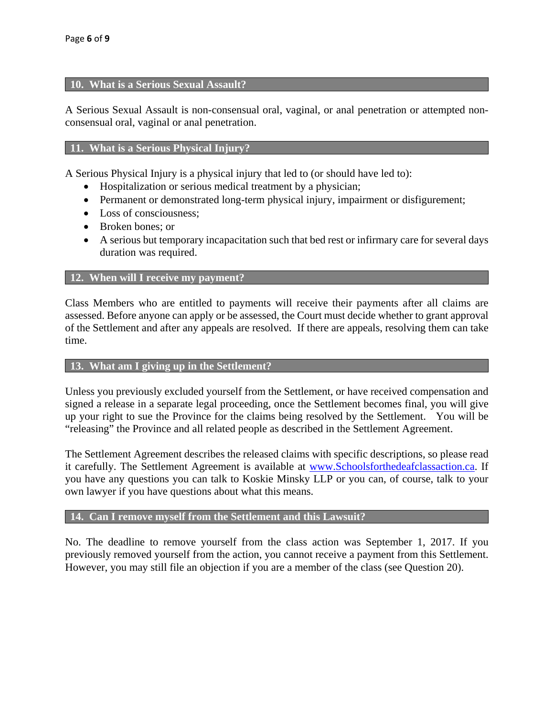#### **10. What is a Serious Sexual Assault?**

A Serious Sexual Assault is non-consensual oral, vaginal, or anal penetration or attempted nonconsensual oral, vaginal or anal penetration.

## **11. What is a Serious Physical Injury?**

A Serious Physical Injury is a physical injury that led to (or should have led to):

- Hospitalization or serious medical treatment by a physician;
- Permanent or demonstrated long-term physical injury, impairment or disfigurement;
- Loss of consciousness:
- Broken bones: or
- A serious but temporary incapacitation such that bed rest or infirmary care for several days duration was required.

#### **12. When will I receive my payment?**

Class Members who are entitled to payments will receive their payments after all claims are assessed. Before anyone can apply or be assessed, the Court must decide whether to grant approval of the Settlement and after any appeals are resolved. If there are appeals, resolving them can take time.

#### **13. What am I giving up in the Settlement?**

Unless you previously excluded yourself from the Settlement, or have received compensation and signed a release in a separate legal proceeding, once the Settlement becomes final, you will give up your right to sue the Province for the claims being resolved by the Settlement. You will be "releasing" the Province and all related people as described in the Settlement Agreement.

The Settlement Agreement describes the released claims with specific descriptions, so please read it carefully. The Settlement Agreement is available at www.Schoolsforthedeafclassaction.ca. If you have any questions you can talk to Koskie Minsky LLP or you can, of course, talk to your own lawyer if you have questions about what this means.

## **14. Can I remove myself from the Settlement and this Lawsuit?**

No. The deadline to remove yourself from the class action was September 1, 2017. If you previously removed yourself from the action, you cannot receive a payment from this Settlement. However, you may still file an objection if you are a member of the class (see Question 20).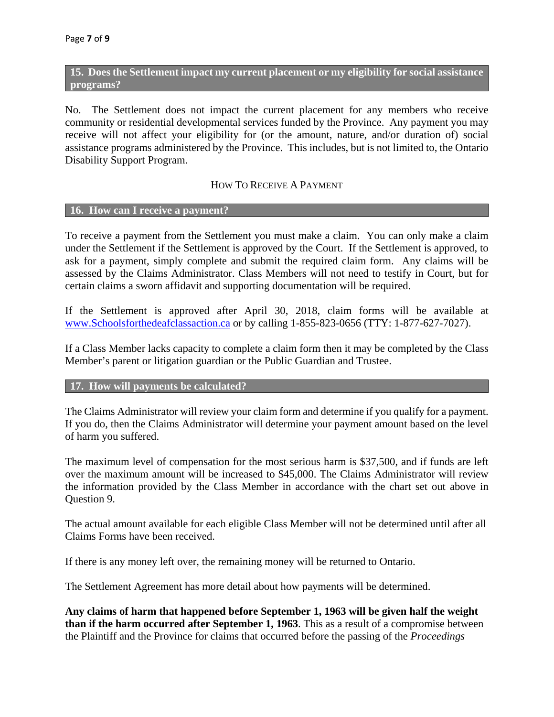**15. Does the Settlement impact my current placement or my eligibility for social assistance programs?** 

No. The Settlement does not impact the current placement for any members who receive community or residential developmental services funded by the Province. Any payment you may receive will not affect your eligibility for (or the amount, nature, and/or duration of) social assistance programs administered by the Province. This includes, but is not limited to, the Ontario Disability Support Program.

#### HOW TO RECEIVE A PAYMENT

#### **16. How can I receive a payment?**

To receive a payment from the Settlement you must make a claim. You can only make a claim under the Settlement if the Settlement is approved by the Court. If the Settlement is approved, to ask for a payment, simply complete and submit the required claim form. Any claims will be assessed by the Claims Administrator. Class Members will not need to testify in Court, but for certain claims a sworn affidavit and supporting documentation will be required.

If the Settlement is approved after April 30, 2018, claim forms will be available at www.Schoolsforthedeafclassaction.ca or by calling 1-855-823-0656 (TTY: 1-877-627-7027).

If a Class Member lacks capacity to complete a claim form then it may be completed by the Class Member's parent or litigation guardian or the Public Guardian and Trustee.

# **17. How will payments be calculated?**

The Claims Administrator will review your claim form and determine if you qualify for a payment. If you do, then the Claims Administrator will determine your payment amount based on the level of harm you suffered.

The maximum level of compensation for the most serious harm is \$37,500, and if funds are left over the maximum amount will be increased to \$45,000. The Claims Administrator will review the information provided by the Class Member in accordance with the chart set out above in Question 9.

The actual amount available for each eligible Class Member will not be determined until after all Claims Forms have been received.

If there is any money left over, the remaining money will be returned to Ontario.

The Settlement Agreement has more detail about how payments will be determined.

**Any claims of harm that happened before September 1, 1963 will be given half the weight than if the harm occurred after September 1, 1963**. This as a result of a compromise between the Plaintiff and the Province for claims that occurred before the passing of the *Proceedings*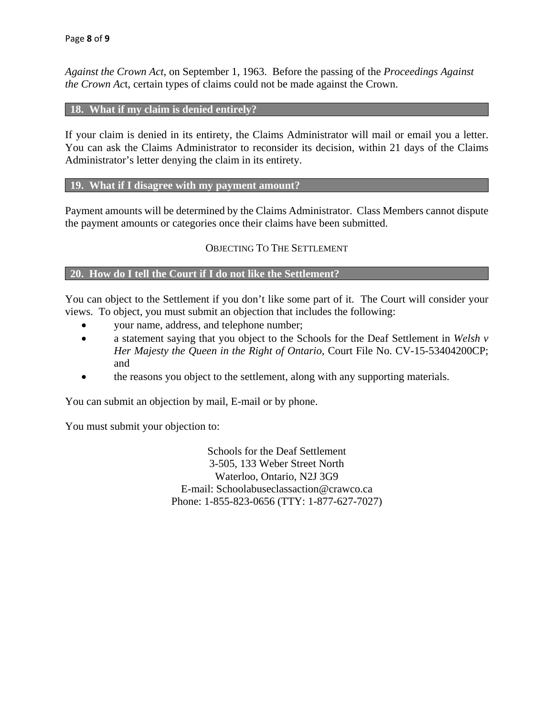*Against the Crown Act*, on September 1, 1963. Before the passing of the *Proceedings Against the Crown Ac*t, certain types of claims could not be made against the Crown.

#### **18. What if my claim is denied entirely?**

If your claim is denied in its entirety, the Claims Administrator will mail or email you a letter. You can ask the Claims Administrator to reconsider its decision, within 21 days of the Claims Administrator's letter denying the claim in its entirety.

## **19. What if I disagree with my payment amount?**

Payment amounts will be determined by the Claims Administrator. Class Members cannot dispute the payment amounts or categories once their claims have been submitted.

## OBJECTING TO THE SETTLEMENT

## **20. How do I tell the Court if I do not like the Settlement?**

You can object to the Settlement if you don't like some part of it. The Court will consider your views. To object, you must submit an objection that includes the following:

- your name, address, and telephone number;
- a statement saying that you object to the Schools for the Deaf Settlement in *Welsh v Her Majesty the Queen in the Right of Ontario*, Court File No. CV-15-53404200CP; and
- the reasons you object to the settlement, along with any supporting materials.

You can submit an objection by mail, E-mail or by phone.

You must submit your objection to:

Schools for the Deaf Settlement 3-505, 133 Weber Street North Waterloo, Ontario, N2J 3G9 E-mail: Schoolabuseclassaction@crawco.ca Phone: 1-855-823-0656 (TTY: 1-877-627-7027)